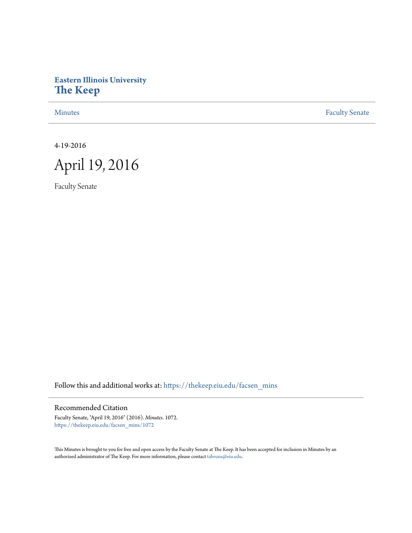# **Eastern Illinois University [The Keep](https://thekeep.eiu.edu?utm_source=thekeep.eiu.edu%2Ffacsen_mins%2F1072&utm_medium=PDF&utm_campaign=PDFCoverPages)**

[Minutes](https://thekeep.eiu.edu/facsen_mins?utm_source=thekeep.eiu.edu%2Ffacsen_mins%2F1072&utm_medium=PDF&utm_campaign=PDFCoverPages) **[Faculty Senate](https://thekeep.eiu.edu/fac_senate?utm_source=thekeep.eiu.edu%2Ffacsen_mins%2F1072&utm_medium=PDF&utm_campaign=PDFCoverPages)** 

4-19-2016



Faculty Senate

Follow this and additional works at: [https://thekeep.eiu.edu/facsen\\_mins](https://thekeep.eiu.edu/facsen_mins?utm_source=thekeep.eiu.edu%2Ffacsen_mins%2F1072&utm_medium=PDF&utm_campaign=PDFCoverPages)

# Recommended Citation

Faculty Senate, "April 19, 2016" (2016). *Minutes*. 1072. [https://thekeep.eiu.edu/facsen\\_mins/1072](https://thekeep.eiu.edu/facsen_mins/1072?utm_source=thekeep.eiu.edu%2Ffacsen_mins%2F1072&utm_medium=PDF&utm_campaign=PDFCoverPages)

This Minutes is brought to you for free and open access by the Faculty Senate at The Keep. It has been accepted for inclusion in Minutes by an authorized administrator of The Keep. For more information, please contact [tabruns@eiu.edu](mailto:tabruns@eiu.edu).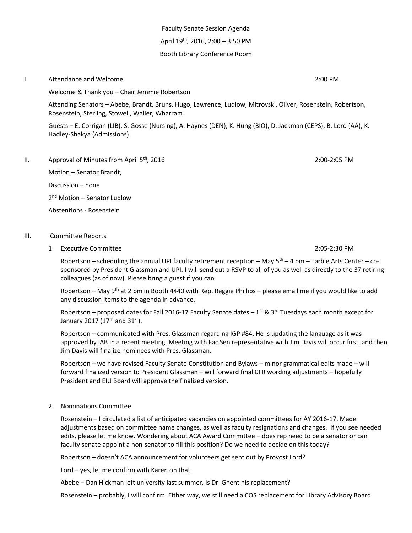Faculty Senate Session Agenda April 19th , 2016, 2:00 – 3:50 PM Booth Library Conference Room

### I. Attendance and Welcome 2:00 PM

Welcome & Thank you – Chair Jemmie Robertson

Attending Senators – Abebe, Brandt, Bruns, Hugo, Lawrence, Ludlow, Mitrovski, Oliver, Rosenstein, Robertson, Rosenstein, Sterling, Stowell, Waller, Wharram

Guests – E. Corrigan (LIB), S. Gosse (Nursing), A. Haynes (DEN), K. Hung (BIO), D. Jackman (CEPS), B. Lord (AA), K. Hadley-Shakya (Admissions)

II. Approval of Minutes from April  $5<sup>th</sup>$ , 2016 2:00 2:00 PM

Motion – Senator Brandt, Discussion – none

2<sup>nd</sup> Motion – Senator Ludlow

Abstentions - Rosenstein

### III. Committee Reports

1. Executive Committee 2:05-2:30 PM

Robertson – scheduling the annual UPI faculty retirement reception – May  $5<sup>th</sup>$  – 4 pm – Tarble Arts Center – cosponsored by President Glassman and UPI. I will send out a RSVP to all of you as well as directly to the 37 retiring colleagues (as of now). Please bring a guest if you can.

Robertson – May 9<sup>th</sup> at 2 pm in Booth 4440 with Rep. Reggie Phillips – please email me if you would like to add any discussion items to the agenda in advance.

Robertson – proposed dates for Fall 2016-17 Faculty Senate dates – 1<sup>st</sup> & 3<sup>rd</sup> Tuesdays each month except for January 2017 (17<sup>th</sup> and 31<sup>st</sup>).

Robertson – communicated with Pres. Glassman regarding IGP #84. He is updating the language as it was approved by IAB in a recent meeting. Meeting with Fac Sen representative with Jim Davis will occur first, and then Jim Davis will finalize nominees with Pres. Glassman.

Robertson – we have revised Faculty Senate Constitution and Bylaws – minor grammatical edits made – will forward finalized version to President Glassman – will forward final CFR wording adjustments – hopefully President and EIU Board will approve the finalized version.

2. Nominations Committee

Rosenstein – I circulated a list of anticipated vacancies on appointed committees for AY 2016-17. Made adjustments based on committee name changes, as well as faculty resignations and changes. If you see needed edits, please let me know. Wondering about ACA Award Committee – does rep need to be a senator or can faculty senate appoint a non-senator to fill this position? Do we need to decide on this today?

Robertson – doesn't ACA announcement for volunteers get sent out by Provost Lord?

Lord – yes, let me confirm with Karen on that.

Abebe – Dan Hickman left university last summer. Is Dr. Ghent his replacement?

Rosenstein – probably, I will confirm. Either way, we still need a COS replacement for Library Advisory Board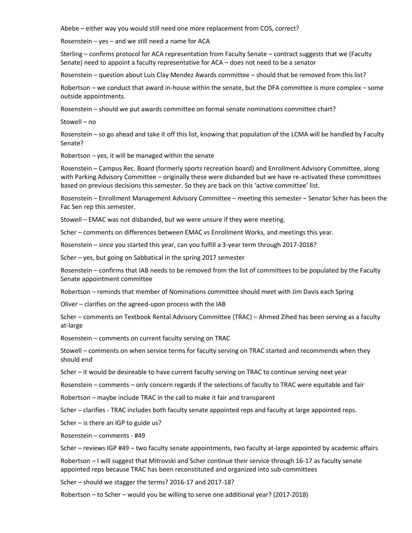Abebe – either way you would still need one more replacement from COS, correct?

Rosenstein – yes – and we still need a name for ACA

Sterling – confirms protocol for ACA representation from Faculty Senate – contract suggests that we (Faculty Senate) need to appoint a faculty representative for ACA – does not need to be a senator

Rosenstein – question about Luis Clay Mendez Awards committee – should that be removed from this list?

Robertson – we conduct that award in-house within the senate, but the DFA committee is more complex – some outside appointments.

Rosenstein – should we put awards committee on formal senate nominations committee chart?

Stowell – no

Rosenstein – so go ahead and take it off this list, knowing that population of the LCMA will be handled by Faculty Senate?

Robertson – yes, it will be managed within the senate

Rosenstein – Campus Rec. Board (formerly sports recreation board) and Enrollment Advisory Committee, along with Parking Advisory Committee – originally these were disbanded but we have re-activated these committees based on previous decisions this semester. So they are back on this 'active committee' list.

Rosenstein – Enrollment Management Advisory Committee – meeting this semester – Senator Scher has been the Fac Sen rep this semester.

Stowell – EMAC was not disbanded, but we were unsure if they were meeting.

Scher – comments on differences between EMAC vs Enrollment Works, and meetings this year.

Rosenstein – since you started this year, can you fulfill a 3-year term through 2017-2018?

Scher – yes, but going on Sabbatical in the spring 2017 semester

Rosenstein – confirms that IAB needs to be removed from the list of committees to be populated by the Faculty Senate appointment committee

Robertson – reminds that member of Nominations committee should meet with Jim Davis each Spring

Oliver – clarifies on the agreed-upon process with the IAB

Scher – comments on Textbook Rental Advisory Committee (TRAC) – Ahmed Zihed has been serving as a faculty at-large

Rosenstein – comments on current faculty serving on TRAC

Stowell – comments on when service terms for faculty serving on TRAC started and recommends when they should end

Scher – it would be desireable to have current faculty serving on TRAC to continue serving next year

Rosenstein – comments – only concern regards if the selections of faculty to TRAC were equitable and fair

Robertson – maybe include TRAC in the call to make it fair and transparent

Scher – clarifies - TRAC includes both faculty senate appointed reps and faculty at large appointed reps.

Scher – is there an IGP to guide us?

Rosenstein – comments - #49

Scher – reviews IGP #49 – two faculty senate appointments, two faculty at-large appointed by academic affairs

Robertson – I will suggest that Mitrovski and Scher continue their service through 16-17 as faculty senate appointed reps because TRAC has been reconstituted and organized into sub-committees

Scher – should we stagger the terms? 2016-17 and 2017-18?

Robertson – to Scher – would you be willing to serve one additional year? (2017-2018)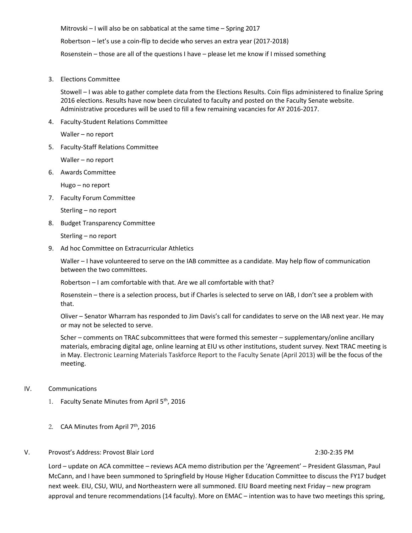Mitrovski – I will also be on sabbatical at the same time – Spring 2017 Robertson – let's use a coin-flip to decide who serves an extra year (2017-2018) Rosenstein – those are all of the questions I have – please let me know if I missed something

3. Elections Committee

Stowell – I was able to gather complete data from the Elections Results. Coin flips administered to finalize Spring 2016 elections. Results have now been circulated to faculty and posted on the Faculty Senate website. Administrative procedures will be used to fill a few remaining vacancies for AY 2016-2017.

4. Faculty-Student Relations Committee

Waller – no report

5. Faculty-Staff Relations Committee

Waller – no report

6. Awards Committee

Hugo – no report

7. Faculty Forum Committee

Sterling – no report

8. Budget Transparency Committee

Sterling – no report

9. Ad hoc Committee on Extracurricular Athletics

Waller – I have volunteered to serve on the IAB committee as a candidate. May help flow of communication between the two committees.

Robertson – I am comfortable with that. Are we all comfortable with that?

Rosenstein – there is a selection process, but if Charles is selected to serve on IAB, I don't see a problem with that.

Oliver – Senator Wharram has responded to Jim Davis's call for candidates to serve on the IAB next year. He may or may not be selected to serve.

Scher – comments on TRAC subcommittees that were formed this semester – supplementary/online ancillary materials, embracing digital age, online learning at EIU vs other institutions, student survey. Next TRAC meeting is in May. Electronic Learning Materials Taskforce Report to the Faculty Senate (April 2013) will be the focus of the meeting.

# IV. Communications

- 1. Faculty Senate Minutes from April 5<sup>th</sup>, 2016
- 2. CAA Minutes from April  $7<sup>th</sup>$ , 2016

# V. Provost's Address: Provost Blair Lord 2:30-2:35 PM

Lord – update on ACA committee – reviews ACA memo distribution per the 'Agreement' – President Glassman, Paul McCann, and I have been summoned to Springfield by House Higher Education Committee to discuss the FY17 budget next week. EIU, CSU, WIU, and Northeastern were all summoned. EIU Board meeting next Friday – new program approval and tenure recommendations (14 faculty). More on EMAC – intention was to have two meetings this spring,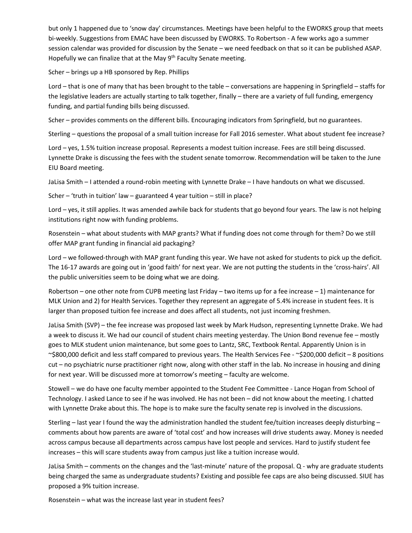but only 1 happened due to 'snow day' circumstances. Meetings have been helpful to the EWORKS group that meets bi-weekly. Suggestions from EMAC have been discussed by EWORKS. To Robertson - A few works ago a summer session calendar was provided for discussion by the Senate – we need feedback on that so it can be published ASAP. Hopefully we can finalize that at the May 9<sup>th</sup> Faculty Senate meeting.

Scher – brings up a HB sponsored by Rep. Phillips

Lord – that is one of many that has been brought to the table – conversations are happening in Springfield – staffs for the legislative leaders are actually starting to talk together, finally – there are a variety of full funding, emergency funding, and partial funding bills being discussed.

Scher – provides comments on the different bills. Encouraging indicators from Springfield, but no guarantees.

Sterling – questions the proposal of a small tuition increase for Fall 2016 semester. What about student fee increase?

Lord – yes, 1.5% tuition increase proposal. Represents a modest tuition increase. Fees are still being discussed. Lynnette Drake is discussing the fees with the student senate tomorrow. Recommendation will be taken to the June EIU Board meeting.

JaLisa Smith – I attended a round-robin meeting with Lynnette Drake – I have handouts on what we discussed.

Scher – 'truth in tuition' law – guaranteed 4 year tuition – still in place?

Lord – yes, it still applies. It was amended awhile back for students that go beyond four years. The law is not helping institutions right now with funding problems.

Rosenstein – what about students with MAP grants? What if funding does not come through for them? Do we still offer MAP grant funding in financial aid packaging?

Lord – we followed-through with MAP grant funding this year. We have not asked for students to pick up the deficit. The 16-17 awards are going out in 'good faith' for next year. We are not putting the students in the 'cross-hairs'. All the public universities seem to be doing what we are doing.

Robertson – one other note from CUPB meeting last Friday – two items up for a fee increase – 1) maintenance for MLK Union and 2) for Health Services. Together they represent an aggregate of 5.4% increase in student fees. It is larger than proposed tuition fee increase and does affect all students, not just incoming freshmen.

JaLisa Smith (SVP) – the fee increase was proposed last week by Mark Hudson, representing Lynnette Drake. We had a week to discuss it. We had our council of student chairs meeting yesterday. The Union Bond revenue fee – mostly goes to MLK student union maintenance, but some goes to Lantz, SRC, Textbook Rental. Apparently Union is in ~\$800,000 deficit and less staff compared to previous years. The Health Services Fee - ~\$200,000 deficit – 8 positions cut – no psychiatric nurse practitioner right now, along with other staff in the lab. No increase in housing and dining for next year. Will be discussed more at tomorrow's meeting – faculty are welcome.

Stowell – we do have one faculty member appointed to the Student Fee Committee - Lance Hogan from School of Technology. I asked Lance to see if he was involved. He has not been – did not know about the meeting. I chatted with Lynnette Drake about this. The hope is to make sure the faculty senate rep is involved in the discussions.

Sterling – last year I found the way the administration handled the student fee/tuition increases deeply disturbing – comments about how parents are aware of 'total cost' and how increases will drive students away. Money is needed across campus because all departments across campus have lost people and services. Hard to justify student fee increases – this will scare students away from campus just like a tuition increase would.

JaLisa Smith – comments on the changes and the 'last-minute' nature of the proposal. Q - why are graduate students being charged the same as undergraduate students? Existing and possible fee caps are also being discussed. SIUE has proposed a 9% tuition increase.

Rosenstein – what was the increase last year in student fees?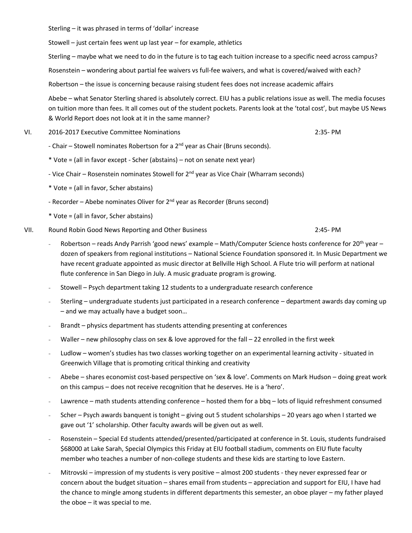Sterling – it was phrased in terms of 'dollar' increase

Stowell – just certain fees went up last year – for example, athletics

Sterling – maybe what we need to do in the future is to tag each tuition increase to a specific need across campus?

Rosenstein – wondering about partial fee waivers vs full-fee waivers, and what is covered/waived with each?

Robertson – the issue is concerning because raising student fees does not increase academic affairs

Abebe – what Senator Sterling shared is absolutely correct. EIU has a public relations issue as well. The media focuses on tuition more than fees. It all comes out of the student pockets. Parents look at the 'total cost', but maybe US News & World Report does not look at it in the same manner?

- VI. 2016-2017 Executive Committee Nominations 2:35- PM
	- Chair Stowell nominates Robertson for a  $2<sup>nd</sup>$  year as Chair (Bruns seconds).
	- \* Vote = (all in favor except Scher (abstains) not on senate next year)
	- Vice Chair Rosenstein nominates Stowell for  $2^{nd}$  year as Vice Chair (Wharram seconds)
	- \* Vote = (all in favor, Scher abstains)
	- Recorder Abebe nominates Oliver for  $2<sup>nd</sup>$  year as Recorder (Bruns second)
	- \* Vote = (all in favor, Scher abstains)
- VII. Round Robin Good News Reporting and Other Business 2:45- PM
	- Robertson reads Andy Parrish 'good news' example Math/Computer Science hosts conference for 20<sup>th</sup> year dozen of speakers from regional institutions – National Science Foundation sponsored it. In Music Department we have recent graduate appointed as music director at Bellville High School. A Flute trio will perform at national flute conference in San Diego in July. A music graduate program is growing.
	- Stowell Psych department taking 12 students to a undergraduate research conference
	- Sterling undergraduate students just participated in a research conference department awards day coming up – and we may actually have a budget soon…
	- Brandt physics department has students attending presenting at conferences
	- Waller new philosophy class on sex & love approved for the fall 22 enrolled in the first week
	- Ludlow women's studies has two classes working together on an experimental learning activity situated in Greenwich Village that is promoting critical thinking and creativity
	- Abebe shares economist cost-based perspective on 'sex & love'. Comments on Mark Hudson doing great work on this campus – does not receive recognition that he deserves. He is a 'hero'.
	- Lawrence math students attending conference hosted them for a bbq lots of liquid refreshment consumed
	- Scher Psych awards banquent is tonight giving out 5 student scholarships 20 years ago when I started we gave out '1' scholarship. Other faculty awards will be given out as well.
	- Rosenstein Special Ed students attended/presented/participated at conference in St. Louis, students fundraised \$68000 at Lake Sarah, Special Olympics this Friday at EIU football stadium, comments on EIU flute faculty member who teaches a number of non-college students and these kids are starting to love Eastern.
	- Mitrovski impression of my students is very positive almost 200 students they never expressed fear or concern about the budget situation – shares email from students – appreciation and support for EIU, I have had the chance to mingle among students in different departments this semester, an oboe player – my father played the oboe – it was special to me.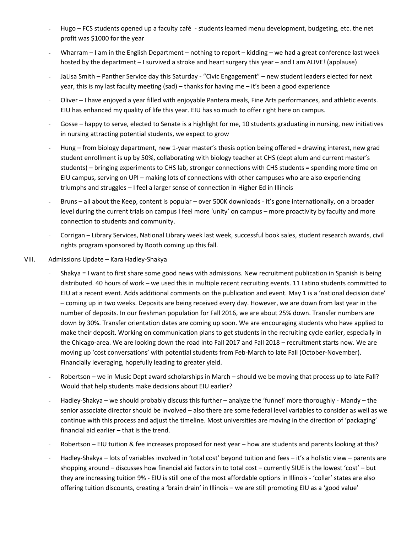- Hugo FCS students opened up a faculty café students learned menu development, budgeting, etc. the net profit was \$1000 for the year
- Wharram I am in the English Department nothing to report kidding we had a great conference last week hosted by the department – I survived a stroke and heart surgery this year – and I am ALIVE! (applause)
- JaLisa Smith Panther Service day this Saturday "Civic Engagement" new student leaders elected for next year, this is my last faculty meeting (sad) – thanks for having me – it's been a good experience
- Oliver I have enjoyed a year filled with enjoyable Pantera meals, Fine Arts performances, and athletic events. EIU has enhanced my quality of life this year. EIU has so much to offer right here on campus.
- Gosse happy to serve, elected to Senate is a highlight for me, 10 students graduating in nursing, new initiatives in nursing attracting potential students, we expect to grow
- Hung from biology department, new 1-year master's thesis option being offered = drawing interest, new grad student enrollment is up by 50%, collaborating with biology teacher at CHS (dept alum and current master's students) – bringing experiments to CHS lab, stronger connections with CHS students = spending more time on EIU campus, serving on UPI – making lots of connections with other campuses who are also experiencing triumphs and struggles – I feel a larger sense of connection in Higher Ed in Illinois
- Bruns all about the Keep, content is popular over 500K downloads it's gone internationally, on a broader level during the current trials on campus I feel more 'unity' on campus – more proactivity by faculty and more connection to students and community.
- Corrigan Library Services, National Library week last week, successful book sales, student research awards, civil rights program sponsored by Booth coming up this fall.
- VIII. Admissions Update Kara Hadley-Shakya
	- Shakya = I want to first share some good news with admissions. New recruitment publication in Spanish is being distributed. 40 hours of work – we used this in multiple recent recruiting events. 11 Latino students committed to EIU at a recent event. Adds additional comments on the publication and event. May 1 is a 'national decision date' – coming up in two weeks. Deposits are being received every day. However, we are down from last year in the number of deposits. In our freshman population for Fall 2016, we are about 25% down. Transfer numbers are down by 30%. Transfer orientation dates are coming up soon. We are encouraging students who have applied to make their deposit. Working on communication plans to get students in the recruiting cycle earlier, especially in the Chicago-area. We are looking down the road into Fall 2017 and Fall 2018 – recruitment starts now. We are moving up 'cost conversations' with potential students from Feb-March to late Fall (October-November). Financially leveraging, hopefully leading to greater yield.
	- Robertson we in Music Dept award scholarships in March should we be moving that process up to late Fall? Would that help students make decisions about EIU earlier?
	- Hadley-Shakya we should probably discuss this further analyze the 'funnel' more thoroughly Mandy the senior associate director should be involved – also there are some federal level variables to consider as well as we continue with this process and adjust the timeline. Most universities are moving in the direction of 'packaging' financial aid earlier – that is the trend.
	- Robertson EIU tuition & fee increases proposed for next year how are students and parents looking at this?
	- Hadley-Shakya lots of variables involved in 'total cost' beyond tuition and fees it's a holistic view parents are shopping around – discusses how financial aid factors in to total cost – currently SIUE is the lowest 'cost' – but they are increasing tuition 9% - EIU is still one of the most affordable options in Illinois - 'collar' states are also offering tuition discounts, creating a 'brain drain' in Illinois – we are still promoting EIU as a 'good value'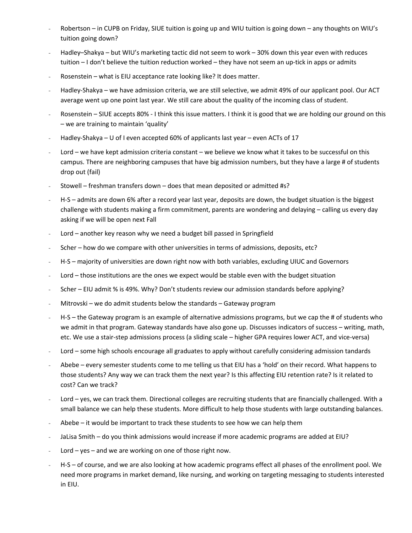- Robertson in CUPB on Friday, SIUE tuition is going up and WIU tuition is going down any thoughts on WIU's tuition going down?
- Hadley–Shakya but WIU's marketing tactic did not seem to work 30% down this year even with reduces tuition – I don't believe the tuition reduction worked – they have not seem an up-tick in apps or admits
- Rosenstein what is EIU acceptance rate looking like? It does matter.
- Hadley-Shakya we have admission criteria, we are still selective, we admit 49% of our applicant pool. Our ACT average went up one point last year. We still care about the quality of the incoming class of student.
- Rosenstein SIUE accepts 80% I think this issue matters. I think it is good that we are holding our ground on this – we are training to maintain 'quality'
- Hadley-Shakya U of I even accepted 60% of applicants last year even ACTs of 17
- Lord we have kept admission criteria constant we believe we know what it takes to be successful on this campus. There are neighboring campuses that have big admission numbers, but they have a large # of students drop out (fail)
- Stowell freshman transfers down does that mean deposited or admitted #s?
- H-S admits are down 6% after a record year last year, deposits are down, the budget situation is the biggest challenge with students making a firm commitment, parents are wondering and delaying – calling us every day asking if we will be open next Fall
- Lord another key reason why we need a budget bill passed in Springfield
- Scher how do we compare with other universities in terms of admissions, deposits, etc?
- H-S majority of universities are down right now with both variables, excluding UIUC and Governors
- Lord those institutions are the ones we expect would be stable even with the budget situation
- Scher EIU admit % is 49%. Why? Don't students review our admission standards before applying?
- Mitrovski we do admit students below the standards Gateway program
- H-S the Gateway program is an example of alternative admissions programs, but we cap the # of students who we admit in that program. Gateway standards have also gone up. Discusses indicators of success – writing, math, etc. We use a stair-step admissions process (a sliding scale – higher GPA requires lower ACT, and vice-versa)
- Lord some high schools encourage all graduates to apply without carefully considering admission tandards
- Abebe every semester students come to me telling us that EIU has a 'hold' on their record. What happens to those students? Any way we can track them the next year? Is this affecting EIU retention rate? Is it related to cost? Can we track?
- Lord yes, we can track them. Directional colleges are recruiting students that are financially challenged. With a small balance we can help these students. More difficult to help those students with large outstanding balances.
- Abebe  $-$  it would be important to track these students to see how we can help them
- JaLisa Smith do you think admissions would increase if more academic programs are added at EIU?
- Lord yes and we are working on one of those right now.
- H-S of course, and we are also looking at how academic programs effect all phases of the enrollment pool. We need more programs in market demand, like nursing, and working on targeting messaging to students interested in EIU.